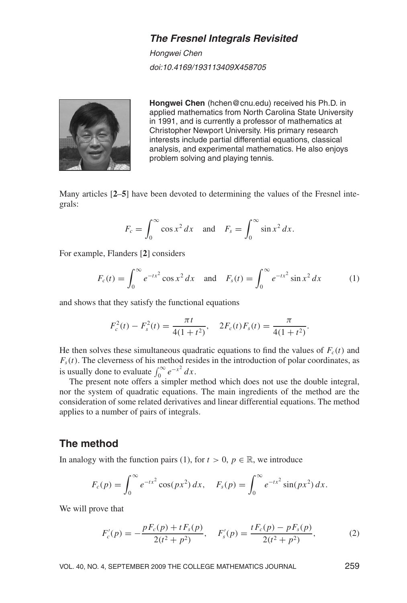### **The Fresnel Integrals Revisited**

Hongwei Chen doi:10.4169/193113409X458705



Hongwei Chen (hchen@cnu.edu) received his Ph.D. in applied mathematics from North Carolina State University in 1991, and is currently a professor of mathematics at Christopher Newport University. His primary research interests include partial differential equations, classical analysis, and experimental mathematics. He also enjoys problem solving and playing tennis.

Many articles [2–5] have been devoted to determining the values of the Fresnel integrals:

$$
F_c = \int_0^\infty \cos x^2 dx \quad \text{and} \quad F_s = \int_0^\infty \sin x^2 dx.
$$

For example, Flanders [2] considers

$$
F_c(t) = \int_0^\infty e^{-tx^2} \cos x^2 dx \quad \text{and} \quad F_s(t) = \int_0^\infty e^{-tx^2} \sin x^2 dx \tag{1}
$$

and shows that they satisfy the functional equations

$$
F_c^2(t) - F_s^2(t) = \frac{\pi t}{4(1+t^2)}, \quad 2F_c(t)F_s(t) = \frac{\pi}{4(1+t^2)}.
$$

He then solves these simultaneous quadratic equations to find the values of  $F_c(t)$  and  $F_s(t)$ . The cleverness of his method resides in the introduction of polar coordinates, as is usually done to evaluate  $\int_0^\infty e^{-x^2} dx$ .

The present note offers a simpler method which does not use the double integral, nor the system of quadratic equations. The main ingredients of the method are the consideration of some related derivatives and linear differential equations. The method applies to a number of pairs of integrals.

#### The method

In analogy with the function pairs (1), for  $t > 0$ ,  $p \in \mathbb{R}$ , we introduce

$$
F_c(p) = \int_0^\infty e^{-tx^2} \cos(px^2) \, dx, \quad F_s(p) = \int_0^\infty e^{-tx^2} \sin(px^2) \, dx.
$$

We will prove that

$$
F'_{c}(p) = -\frac{pF_{c}(p) + tF_{s}(p)}{2(t^{2} + p^{2})}, \quad F'_{s}(p) = \frac{tF_{c}(p) - pF_{s}(p)}{2(t^{2} + p^{2})},
$$
(2)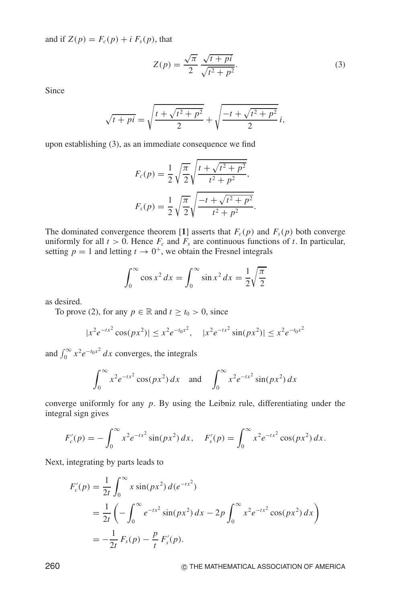and if  $Z(p) = F_c(p) + i F_s(p)$ , that

$$
Z(p) = \frac{\sqrt{\pi}}{2} \frac{\sqrt{t+pi}}{\sqrt{t^2+p^2}}.
$$
\n(3)

Since

$$
\sqrt{t+pi} = \sqrt{\frac{t + \sqrt{t^2 + p^2}}{2}} + \sqrt{\frac{-t + \sqrt{t^2 + p^2}}{2}} i,
$$

upon establishing (3), as an immediate consequence we find

$$
F_c(p) = \frac{1}{2} \sqrt{\frac{\pi}{2}} \sqrt{\frac{t + \sqrt{t^2 + p^2}}{t^2 + p^2}},
$$
  

$$
F_s(p) = \frac{1}{2} \sqrt{\frac{\pi}{2}} \sqrt{\frac{-t + \sqrt{t^2 + p^2}}{t^2 + p^2}}.
$$

The dominated convergence theorem [1] asserts that  $F_c(p)$  and  $F_s(p)$  both converge uniformly for all  $t > 0$ . Hence  $F_c$  and  $F_s$  are continuous functions of t. In particular, setting  $p = 1$  and letting  $t \to 0^+$ , we obtain the Fresnel integrals

$$
\int_0^\infty \cos x^2 dx = \int_0^\infty \sin x^2 dx = \frac{1}{2} \sqrt{\frac{\pi}{2}}
$$

as desired.

To prove (2), for any  $p \in \mathbb{R}$  and  $t \ge t_0 > 0$ , since

$$
|x^2 e^{-tx^2} \cos(px^2)| \le x^2 e^{-t_0 x^2}, \quad |x^2 e^{-tx^2} \sin(px^2)| \le x^2 e^{-t_0 x^2}
$$

and  $\int_0^\infty x^2 e^{-t_0 x^2} dx$  converges, the integrals

$$
\int_0^\infty x^2 e^{-tx^2} \cos(px^2) \, dx \quad \text{and} \quad \int_0^\infty x^2 e^{-tx^2} \sin(px^2) \, dx
$$

converge uniformly for any  $p$ . By using the Leibniz rule, differentiating under the integral sign gives

$$
F'_{c}(p) = -\int_0^\infty x^2 e^{-tx^2} \sin(px^2) dx, \quad F'_{s}(p) = \int_0^\infty x^2 e^{-tx^2} \cos(px^2) dx.
$$

Next, integrating by parts leads to

$$
F'_{c}(p) = \frac{1}{2t} \int_{0}^{\infty} x \sin(px^{2}) d(e^{-tx^{2}})
$$
  
=  $\frac{1}{2t} \left( - \int_{0}^{\infty} e^{-tx^{2}} \sin(px^{2}) dx - 2p \int_{0}^{\infty} x^{2} e^{-tx^{2}} \cos(px^{2}) dx \right)$   
=  $-\frac{1}{2t} F_{s}(p) - \frac{p}{t} F'_{s}(p).$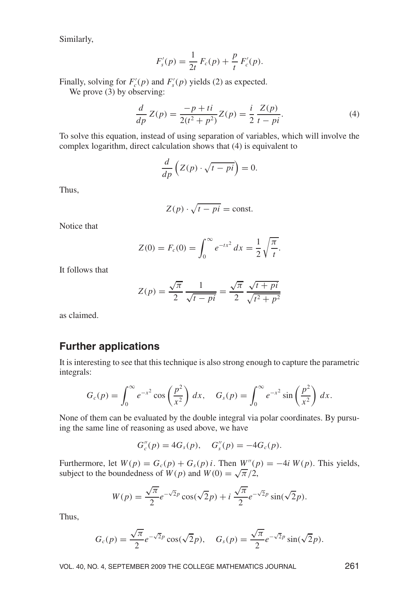Similarly,

$$
F'_{s}(p) = \frac{1}{2t} F_{c}(p) + \frac{p}{t} F'_{c}(p).
$$

Finally, solving for  $F_c(p)$  and  $F_s(p)$  yields (2) as expected.

We prove  $(3)$  by observing:

$$
\frac{d}{dp}Z(p) = \frac{-p + ti}{2(t^2 + p^2)}Z(p) = \frac{i}{2}\frac{Z(p)}{t - pi}.
$$
\n(4)

To solve this equation, instead of using separation of variables, which will involve the complex logarithm, direct calculation shows that (4) is equivalent to

$$
\frac{d}{dp}\left(Z(p)\cdot\sqrt{t-pi}\right)=0
$$

Thus.

$$
Z(p) \cdot \sqrt{t - pi} = \text{const.}
$$

Notice that

$$
Z(0) = F_c(0) = \int_0^\infty e^{-tx^2} dx = \frac{1}{2} \sqrt{\frac{\pi}{t}}.
$$

It follows that

$$
Z(p) = \frac{\sqrt{\pi}}{2} \frac{1}{\sqrt{t - pi}} = \frac{\sqrt{\pi}}{2} \frac{\sqrt{t + pi}}{\sqrt{t^2 + p^2}}
$$

as claimed.

## **Further applications**

It is interesting to see that this technique is also strong enough to capture the parametric integrals:

$$
G_c(p) = \int_0^\infty e^{-x^2} \cos\left(\frac{p^2}{x^2}\right) dx, \quad G_s(p) = \int_0^\infty e^{-x^2} \sin\left(\frac{p^2}{x^2}\right) dx.
$$

None of them can be evaluated by the double integral via polar coordinates. By pursuing the same line of reasoning as used above, we have

$$
G''_c(p) = 4G_s(p), \quad G''_s(p) = -4G_c(p).
$$

Furthermore, let  $W(p) = G_c(p) + G_s(p)i$ . Then  $W''(p) = -4i W(p)$ . This yields, subject to the boundedness of  $W(p)$  and  $W(0) = \sqrt{\pi}/2$ ,

$$
W(p) = \frac{\sqrt{\pi}}{2}e^{-\sqrt{2}p}\cos(\sqrt{2}p) + i\frac{\sqrt{\pi}}{2}e^{-\sqrt{2}p}\sin(\sqrt{2}p)
$$

Thus,

$$
G_c(p) = \frac{\sqrt{\pi}}{2} e^{-\sqrt{2}p} \cos(\sqrt{2}p), \quad G_s(p) = \frac{\sqrt{\pi}}{2} e^{-\sqrt{2}p} \sin(\sqrt{2}p).
$$

VOL. 40, NO. 4, SEPTEMBER 2009 THE COLLEGE MATHEMATICS JOURNAL